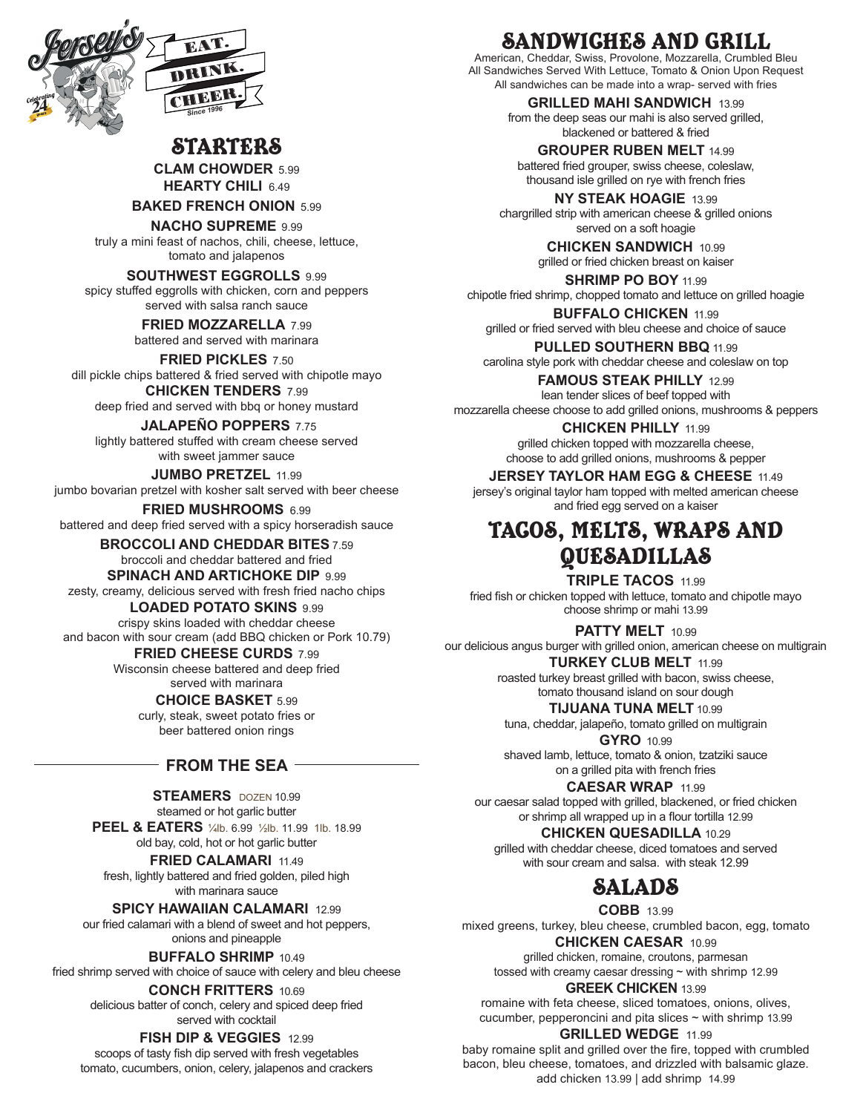

## **STARTERS**

**CLAM CHOWDER** 5.99 **HEARTY CHILI** 6.49

**BAKED FRENCH ONION** 5.99

**NACHO SUPREME** 9.99

truly a mini feast of nachos, chili, cheese, lettuce, tomato and jalapenos

### **SOUTHWEST EGGROLLS** 9.99

spicy stuffed eggrolls with chicken, corn and peppers served with salsa ranch sauce

> **FRIED MOZZARELLA** 7.99 battered and served with marinara

**FRIED PICKLES** 7.50 dill pickle chips battered & fried served with chipotle mayo **CHICKEN TENDERS** 7.99

deep fried and served with bbq or honey mustard

 **JALAPEÑO POPPERS** 7.75 lightly battered stuffed with cream cheese served with sweet jammer sauce

**JUMBO PRETZEL** 11.99 jumbo bovarian pretzel with kosher salt served with beer cheese

**FRIED MUSHROOMS** 6.99 battered and deep fried served with a spicy horseradish sauce

> **BROCCOLI AND CHEDDAR BITES** 7.59 broccoli and cheddar battered and fried

#### **SPINACH AND ARTICHOKE DIP 9.99**

zesty, creamy, delicious served with fresh fried nacho chips

**LOADED POTATO SKINS** 9.99 crispy skins loaded with cheddar cheese

and bacon with sour cream (add BBQ chicken or Pork 10.79)

**FRIED CHEESE CURDS** 7.99 Wisconsin cheese battered and deep fried served with marinara

**CHOICE BASKET** 5.99

curly, steak, sweet potato fries or beer battered onion rings

### **FROM THE SEA**

**STEAMERS** DOZEN 10.99 steamed or hot garlic butter

**PEEL & EATERS** ¼lb. 6.99 ½lb. 11.99 1lb. 18.99 old bay, cold, hot or hot garlic butter

**FRIED CALAMARI 11.49** fresh, lightly battered and fried golden, piled high with marinara sauce

**SPICY HAWAIIAN CALAMARI** 12.99 our fried calamari with a blend of sweet and hot peppers,

onions and pineapple **BUFFALO SHRIMP** 10.49

fried shrimp served with choice of sauce with celery and bleu cheese

**CONCH FRITTERS** 10.69 delicious batter of conch, celery and spiced deep fried served with cocktail

**FISH DIP & VEGGIES** 12.99

scoops of tasty fish dip served with fresh vegetables tomato, cucumbers, onion, celery, jalapenos and crackers

# SANDWICHES AND GRILL

American, Cheddar, Swiss, Provolone, Mozzarella, Crumbled Bleu All Sandwiches Served With Lettuce, Tomato & Onion Upon Request All sandwiches can be made into a wrap- served with fries

> **GRILLED MAHI SANDWICH** 13.99 from the deep seas our mahi is also served grilled, blackened or battered & fried

**GROUPER RUBEN MELT** 14.99 battered fried grouper, swiss cheese, coleslaw, thousand isle grilled on rye with french fries

**NY STEAK HOAGIE** 13.99 chargrilled strip with american cheese & grilled onions served on a soft hoagie

> **CHICKEN SANDWICH** 10.99 grilled or fried chicken breast on kaiser

**SHRIMP PO BOY** 11.99 chipotle fried shrimp, chopped tomato and lettuce on grilled hoagie

**BUFFALO CHICKEN** 11.99 grilled or fried served with bleu cheese and choice of sauce

**PULLED SOUTHERN BBQ** 11.99 carolina style pork with cheddar cheese and coleslaw on top

**FAMOUS STEAK PHILLY** 12.99 lean tender slices of beef topped with mozzarella cheese choose to add grilled onions, mushrooms & peppers

> **CHICKEN PHILLY** 11.99 grilled chicken topped with mozzarella cheese, choose to add grilled onions, mushrooms & pepper

**JERSEY TAYLOR HAM EGG & CHEESE** 11.49

jersey's original taylor ham topped with melted american cheese and fried egg served on a kaiser

# TACOS, MELTS, WRAPS AND QUESADILLAS

**TRIPLE TACOS** 11.99 fried fish or chicken topped with lettuce, tomato and chipotle mayo choose shrimp or mahi 13.99

**PATTY MELT** 10.99

our delicious angus burger with grilled onion, american cheese on multigrain **TURKEY CLUB MELT** 11.99

> roasted turkey breast grilled with bacon, swiss cheese, tomato thousand island on sour dough

**TIJUANA TUNA MELT** 10.99

tuna, cheddar, jalapeño, tomato grilled on multigrain **GYRO** 10.99

shaved lamb, lettuce, tomato & onion, tzatziki sauce on a grilled pita with french fries

**CAESAR WRAP** 11.99

our caesar salad topped with grilled, blackened, or fried chicken or shrimp all wrapped up in a flour tortilla 12.99

**CHICKEN QUESADILLA** 10.29 grilled with cheddar cheese, diced tomatoes and served

with sour cream and salsa. with steak 12.99

# SALADS

**COBB** 13.99

mixed greens, turkey, bleu cheese, crumbled bacon, egg, tomato **CHICKEN CAESAR** 10.99

grilled chicken, romaine, croutons, parmesan tossed with creamy caesar dressing ~ with shrimp 12.99

**GREEK CHICKEN** 13.99

romaine with feta cheese, sliced tomatoes, onions, olives, cucumber, pepperoncini and pita slices  $\sim$  with shrimp 13.99

**GRILLED WEDGE** 11.99

baby romaine split and grilled over the fire, topped with crumbled bacon, bleu cheese, tomatoes, and drizzled with balsamic glaze. add chicken 13.99 | add shrimp 14.99